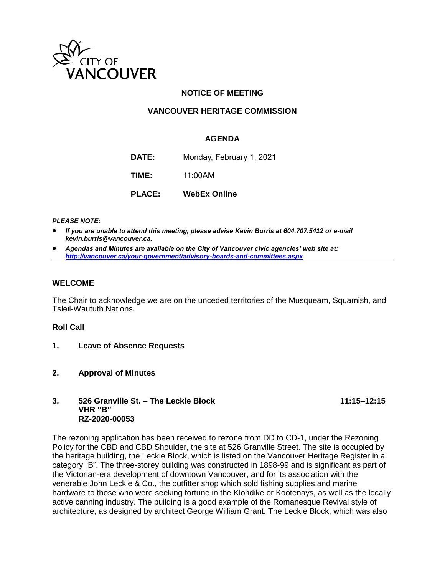

# **NOTICE OF MEETING**

# **VANCOUVER HERITAGE COMMISSION**

## **AGENDA**

**DATE:** Monday, February 1, 2021

**TIME:** 11:00AM

**PLACE: WebEx Online**

#### *PLEASE NOTE:*

- *If you are unable to attend this meeting, please advise Kevin Burris at 604.707.5412 or e-mail kevin.burris@vancouver.ca.*
- *Agendas and Minutes are available on the City of Vancouver civic agencies' web site at: <http://vancouver.ca/your-government/advisory-boards-and-committees.aspx>*

#### **WELCOME**

The Chair to acknowledge we are on the unceded territories of the Musqueam, Squamish, and Tsleil-Waututh Nations.

#### **Roll Call**

- **1. Leave of Absence Requests**
- **2. Approval of Minutes**

#### **3. 526 Granville St. – The Leckie Block 11:15–12:15 VHR "B" RZ-2020-00053**

The rezoning application has been received to rezone from DD to CD-1, under the Rezoning Policy for the CBD and CBD Shoulder, the site at 526 Granville Street. The site is occupied by the heritage building, the Leckie Block, which is listed on the Vancouver Heritage Register in a category "B". The three-storey building was constructed in 1898-99 and is significant as part of the Victorian-era development of downtown Vancouver, and for its association with the venerable John Leckie & Co., the outfitter shop which sold fishing supplies and marine hardware to those who were seeking fortune in the Klondike or Kootenays, as well as the locally active canning industry. The building is a good example of the Romanesque Revival style of architecture, as designed by architect George William Grant. The Leckie Block, which was also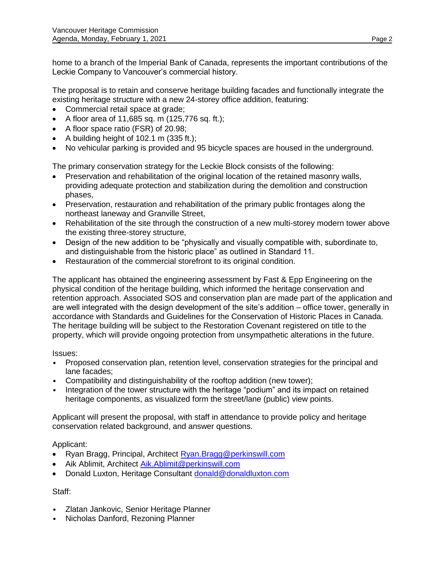home to a branch of the Imperial Bank of Canada, represents the important contributions of the Leckie Company to Vancouver's commercial history.

The proposal is to retain and conserve heritage building facades and functionally integrate the existing heritage structure with a new 24-storey office addition, featuring:

- Commercial retail space at grade:
- A floor area of 11,685 sq. m  $(125,776 \text{ sq. ft.})$ ;
- A floor space ratio (FSR) of 20.98;
- A building height of 102.1 m  $(335 ft.)$ ;
- No vehicular parking is provided and 95 bicycle spaces are housed in the underground.

The primary conservation strategy for the Leckie Block consists of the following:

- Preservation and rehabilitation of the original location of the retained masonry walls, providing adequate protection and stabilization during the demolition and construction phases,
- Preservation, restauration and rehabilitation of the primary public frontages along the northeast laneway and Granville Street,
- Rehabilitation of the site through the construction of a new multi-storey modern tower above the existing three-storey structure,
- Design of the new addition to be "physically and visually compatible with, subordinate to, and distinguishable from the historic place" as outlined in Standard 11.
- Restauration of the commercial storefront to its original condition.

The applicant has obtained the engineering assessment by Fast & Epp Engineering on the physical condition of the heritage building, which informed the heritage conservation and retention approach. Associated SOS and conservation plan are made part of the application and are well integrated with the design development of the site's addition – office tower, generally in accordance with Standards and Guidelines for the Conservation of Historic Places in Canada. The heritage building will be subject to the Restoration Covenant registered on title to the property, which will provide ongoing protection from unsympathetic alterations in the future.

Issues:

- Proposed conservation plan, retention level, conservation strategies for the principal and lane facades;
- Compatibility and distinguishability of the rooftop addition (new tower);
- Integration of the tower structure with the heritage "podium" and its impact on retained heritage components, as visualized form the street/lane (public) view points.

Applicant will present the proposal, with staff in attendance to provide policy and heritage conservation related background, and answer questions.

# Applicant:

- Ryan Bragg, Principal, Architect [Ryan.Bragg@perkinswill.com](mailto:Ryan.Bragg@perkinswill.com)
- Aik Ablimit, Architect [Aik.Ablimit@perkinswill.com](mailto:Aik.Ablimit@perkinswill.com)
- Donald Luxton, Heritage Consultant [donald@donaldluxton.com](mailto:donald@donaldluxton.com)

# Staff:

- Zlatan Jankovic, Senior Heritage Planner
- Nicholas Danford, Rezoning Planner